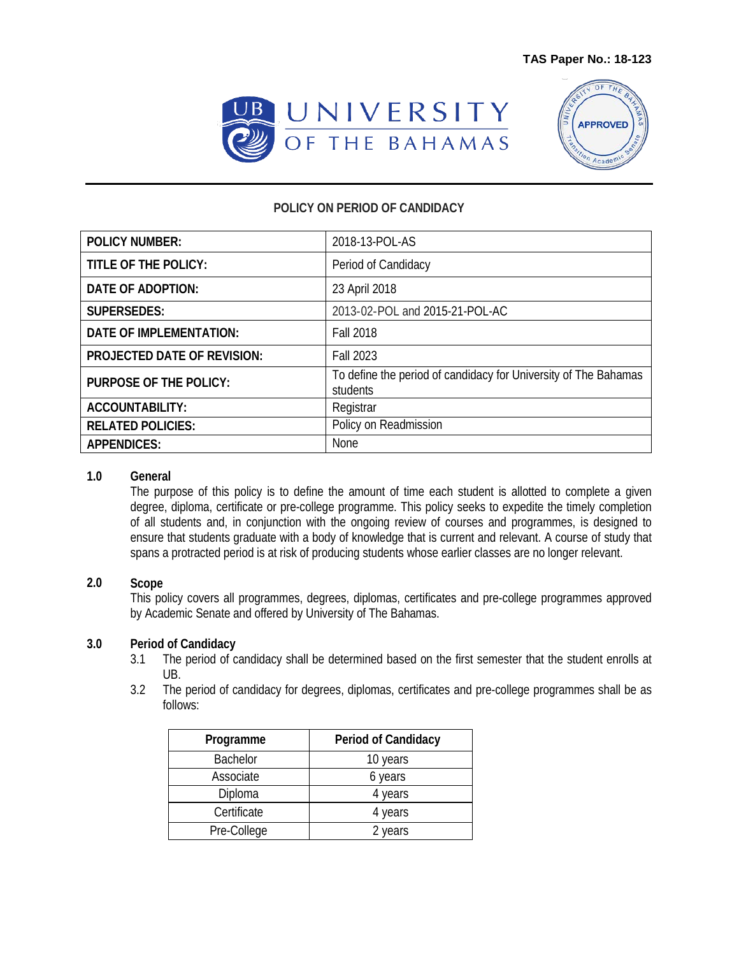



## **POLICY ON PERIOD OF CANDIDACY**

| <b>POLICY NUMBER:</b>              | 2018-13-POL-AS                                                              |
|------------------------------------|-----------------------------------------------------------------------------|
| <b>TITLE OF THE POLICY:</b>        | Period of Candidacy                                                         |
| DATE OF ADOPTION:                  | 23 April 2018                                                               |
| <b>SUPERSEDES:</b>                 | 2013-02-POL and 2015-21-POL-AC                                              |
| <b>DATE OF IMPLEMENTATION:</b>     | <b>Fall 2018</b>                                                            |
| <b>PROJECTED DATE OF REVISION:</b> | <b>Fall 2023</b>                                                            |
| <b>PURPOSE OF THE POLICY:</b>      | To define the period of candidacy for University of The Bahamas<br>students |
| <b>ACCOUNTABILITY:</b>             | Registrar                                                                   |
| <b>RELATED POLICIES:</b>           | Policy on Readmission                                                       |
| <b>APPENDICES:</b>                 | None                                                                        |

#### **1.0 General**

The purpose of this policy is to define the amount of time each student is allotted to complete a given degree, diploma, certificate or pre-college programme. This policy seeks to expedite the timely completion of all students and, in conjunction with the ongoing review of courses and programmes, is designed to ensure that students graduate with a body of knowledge that is current and relevant. A course of study that spans a protracted period is at risk of producing students whose earlier classes are no longer relevant.

## **2.0 Scope**

This policy covers all programmes, degrees, diplomas, certificates and pre-college programmes approved by Academic Senate and offered by University of The Bahamas.

# **3.0 Period of Candidacy**

- The period of candidacy shall be determined based on the first semester that the student enrolls at UB.
- 3.2 The period of candidacy for degrees, diplomas, certificates and pre-college programmes shall be as follows:

| Programme       | Period of Candidacy |
|-----------------|---------------------|
| <b>Bachelor</b> | 10 years            |
| Associate       | 6 years             |
| Diploma         | 4 years             |
| Certificate     | 4 years             |
| Pre-College     | 2 years             |